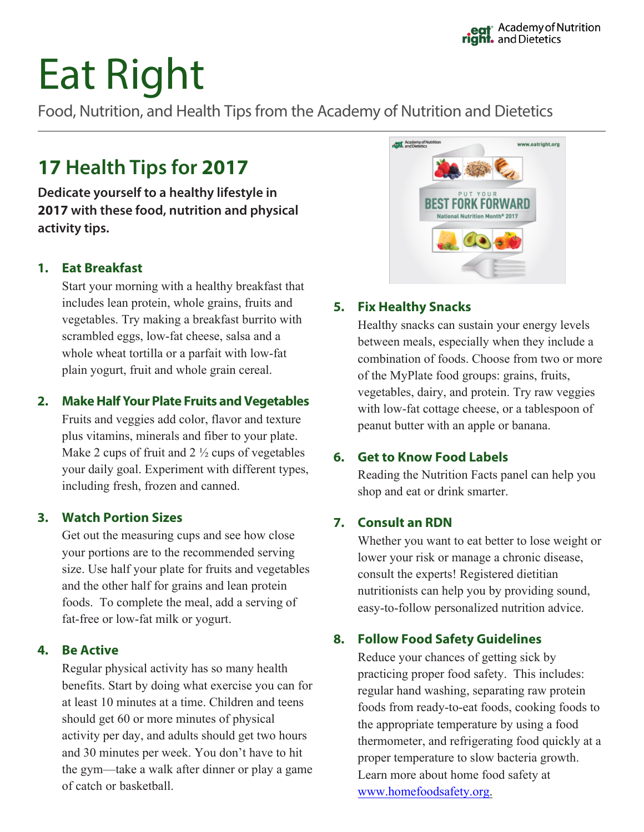# Eat Right

Food, Nutrition, and Health Tips from the Academy of Nutrition and Dietetics

## **17 Health Tips for 2017**

**Dedicate yourself to a healthy lifestyle in 2017 with these food, nutrition and physical activity tips.**

#### **1. Eat Breakfast**

Start your morning with a healthy breakfast that includes lean protein, whole grains, fruits and vegetables. Try making a breakfast burrito with scrambled eggs, low-fat cheese, salsa and a whole wheat tortilla or a parfait with low-fat plain yogurt, fruit and whole grain cereal.

#### **2. Make Half Your Plate Fruits and Vegetables**

Fruits and veggies add color, flavor and texture plus vitamins, minerals and fiber to your plate. Make 2 cups of fruit and  $2\frac{1}{2}$  cups of vegetables your daily goal. Experiment with different types, including fresh, frozen and canned.

#### **3. Watch Portion Sizes**

Get out the measuring cups and see how close your portions are to the recommended serving size. Use half your plate for fruits and vegetables and the other half for grains and lean protein foods. To complete the meal, add a serving of fat-free or low-fat milk or yogurt.

#### **4. Be Active**

Regular physical activity has so many health benefits. Start by doing what exercise you can for at least 10 minutes at a time. Children and teens should get 60 or more minutes of physical activity per day, and adults should get two hours and 30 minutes per week. You don't have to hit the gym—take a walk after dinner or play a game of catch or basketball.



#### **5. Fix Healthy Snacks**

Healthy snacks can sustain your energy levels between meals, especially when they include a combination of foods. Choose from two or more of the MyPlate food groups: grains, fruits, vegetables, dairy, and protein. Try raw veggies with low-fat cottage cheese, or a tablespoon of peanut butter with an apple or banana.

#### **6. Get to Know Food Labels**

Reading the Nutrition Facts panel can help you shop and eat or drink smarter.

#### **7. Consult an RDN**

Whether you want to eat better to lose weight or lower your risk or manage a chronic disease, consult the experts! Registered dietitian nutritionists can help you by providing sound, easy-to-follow personalized nutrition advice.

#### **8. Follow Food Safety Guidelines**

Reduce your chances of getting sick by practicing proper food safety. This includes: regular hand washing, separating raw protein foods from ready-to-eat foods, cooking foods to the appropriate temperature by using a food thermometer, and refrigerating food quickly at a proper temperature to slow bacteria growth. Learn more about home food safety at www.homefoodsafety.org.